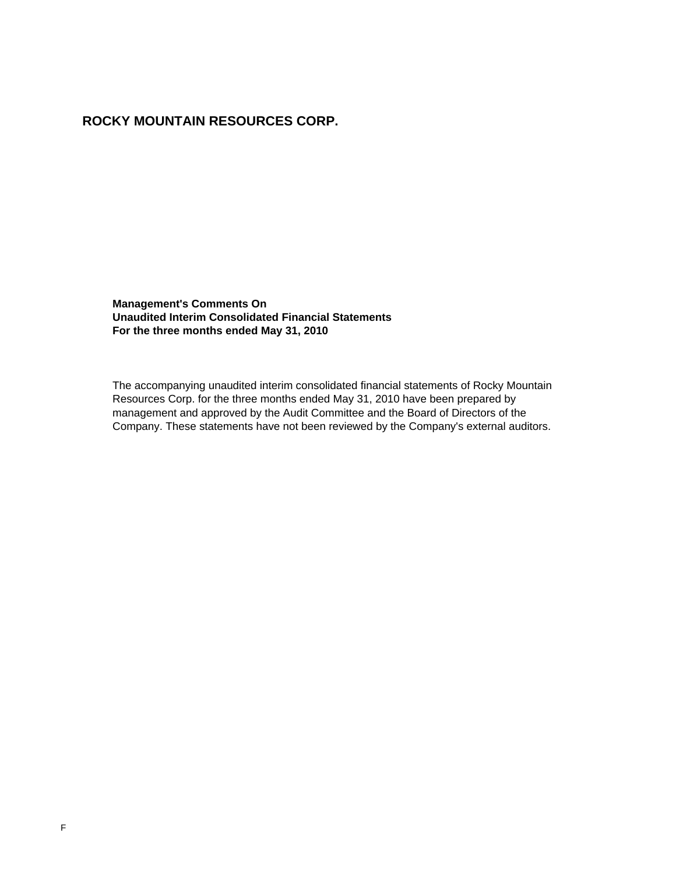# **ROCKY MOUNTAIN RESOURCES CORP.**

**Management's Comments On Unaudited Interim Consolidated Financial Statements For the three months ended May 31, 2010**

The accompanying unaudited interim consolidated financial statements of Rocky Mountain Resources Corp. for the three months ended May 31, 2010 have been prepared by management and approved by the Audit Committee and the Board of Directors of the Company. These statements have not been reviewed by the Company's external auditors.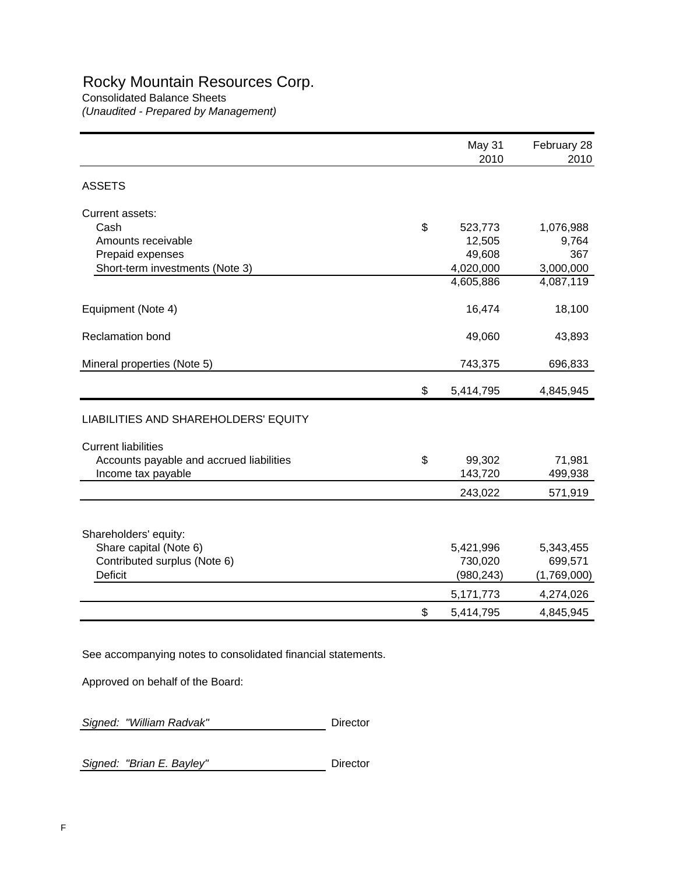# Rocky Mountain Resources Corp.

Consolidated Balance Sheets *(Unaudited - Prepared by Management)*

|                                          | May 31<br>2010  | February 28<br>2010 |
|------------------------------------------|-----------------|---------------------|
| <b>ASSETS</b>                            |                 |                     |
| Current assets:                          |                 |                     |
| Cash                                     | \$<br>523,773   | 1,076,988           |
| Amounts receivable                       | 12,505          | 9,764               |
| Prepaid expenses                         | 49,608          | 367                 |
| Short-term investments (Note 3)          | 4,020,000       | 3,000,000           |
|                                          | 4,605,886       | 4,087,119           |
| Equipment (Note 4)                       | 16,474          | 18,100              |
| <b>Reclamation bond</b>                  | 49,060          | 43,893              |
| Mineral properties (Note 5)              | 743,375         | 696,833             |
|                                          | \$<br>5,414,795 | 4,845,945           |
| LIABILITIES AND SHAREHOLDERS' EQUITY     |                 |                     |
| <b>Current liabilities</b>               |                 |                     |
| Accounts payable and accrued liabilities | \$<br>99,302    | 71,981              |
| Income tax payable                       | 143,720         | 499,938             |
|                                          | 243,022         | 571,919             |
|                                          |                 |                     |
| Shareholders' equity:                    |                 |                     |
| Share capital (Note 6)                   | 5,421,996       | 5,343,455           |
| Contributed surplus (Note 6)             | 730,020         | 699,571             |
| <b>Deficit</b>                           | (980, 243)      | (1,769,000)         |
|                                          | 5,171,773       | 4,274,026           |
|                                          | \$<br>5,414,795 | 4,845,945           |

See accompanying notes to consolidated financial statements.

Approved on behalf of the Board:

Signed: "William Radvak" **Director** 

**Signed: "Brian E. Bayley"** Director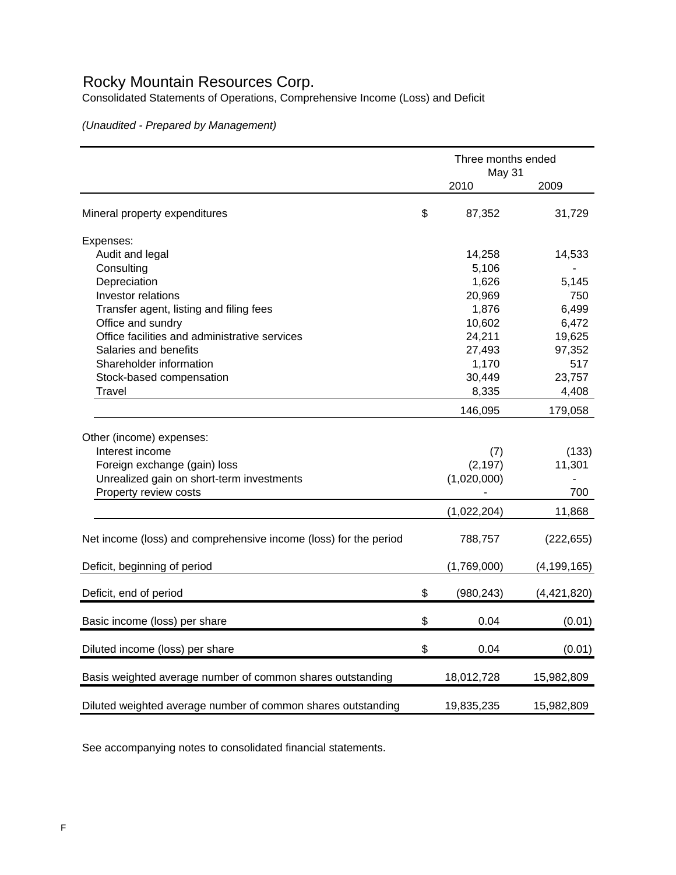# Rocky Mountain Resources Corp.

Consolidated Statements of Operations, Comprehensive Income (Loss) and Deficit

*(Unaudited - Prepared by Management)*

|                                                                  | Three months ended<br>May 31 |               |
|------------------------------------------------------------------|------------------------------|---------------|
|                                                                  | 2010                         | 2009          |
| Mineral property expenditures                                    | \$<br>87,352                 | 31,729        |
| Expenses:                                                        |                              |               |
| Audit and legal                                                  | 14,258                       | 14,533        |
| Consulting                                                       | 5,106                        |               |
| Depreciation                                                     | 1,626                        | 5,145         |
| Investor relations                                               | 20,969                       | 750           |
| Transfer agent, listing and filing fees                          | 1,876                        | 6,499         |
| Office and sundry                                                | 10,602                       | 6,472         |
| Office facilities and administrative services                    | 24,211                       | 19,625        |
| Salaries and benefits                                            | 27,493                       | 97,352        |
| Shareholder information                                          | 1,170                        | 517           |
| Stock-based compensation                                         | 30,449                       | 23,757        |
| <b>Travel</b>                                                    | 8,335                        | 4,408         |
|                                                                  | 146,095                      | 179,058       |
| Other (income) expenses:                                         |                              |               |
| Interest income                                                  | (7)                          | (133)         |
| Foreign exchange (gain) loss                                     | (2, 197)                     | 11,301        |
| Unrealized gain on short-term investments                        | (1,020,000)                  |               |
| Property review costs                                            |                              | 700           |
|                                                                  | (1,022,204)                  | 11,868        |
|                                                                  |                              |               |
| Net income (loss) and comprehensive income (loss) for the period | 788,757                      | (222, 655)    |
| Deficit, beginning of period                                     | (1,769,000)                  | (4, 199, 165) |
| Deficit, end of period                                           | \$<br>(980, 243)             | (4,421,820)   |
| Basic income (loss) per share                                    | \$<br>0.04                   | (0.01)        |
| Diluted income (loss) per share                                  | \$<br>0.04                   | (0.01)        |
| Basis weighted average number of common shares outstanding       | 18,012,728                   | 15,982,809    |
| Diluted weighted average number of common shares outstanding     | 19,835,235                   | 15,982,809    |

See accompanying notes to consolidated financial statements.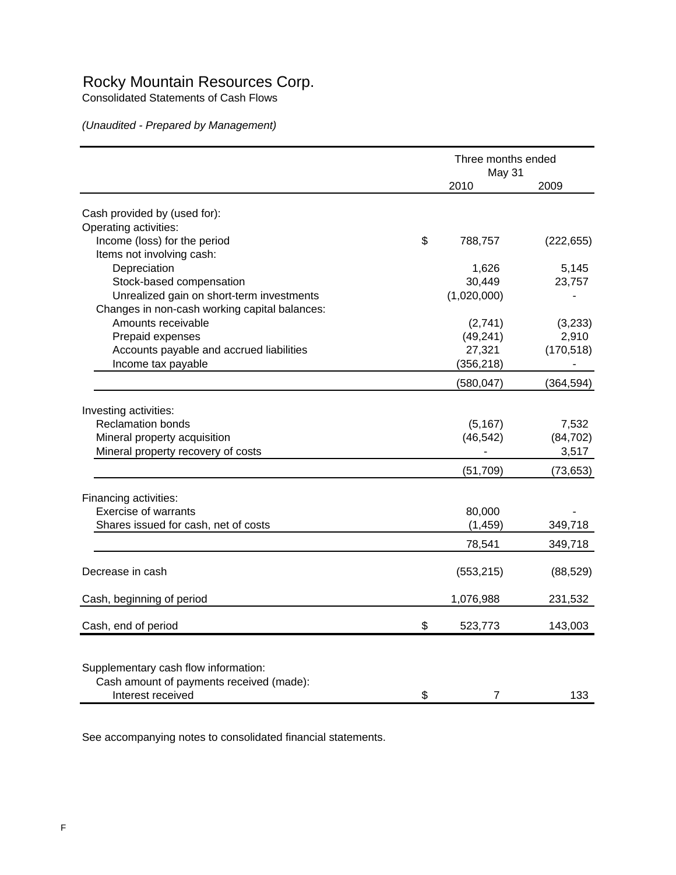# Rocky Mountain Resources Corp.

Consolidated Statements of Cash Flows

*(Unaudited - Prepared by Management)*

|                                               | Three months ended<br>May 31 |                |                  |
|-----------------------------------------------|------------------------------|----------------|------------------|
|                                               |                              | 2010           | 2009             |
| Cash provided by (used for):                  |                              |                |                  |
| Operating activities:                         |                              |                |                  |
| Income (loss) for the period                  | \$                           | 788,757        | (222, 655)       |
| Items not involving cash:                     |                              |                |                  |
| Depreciation                                  |                              | 1,626          | 5,145            |
| Stock-based compensation                      |                              | 30,449         | 23,757           |
| Unrealized gain on short-term investments     |                              | (1,020,000)    |                  |
| Changes in non-cash working capital balances: |                              |                |                  |
| Amounts receivable                            |                              | (2,741)        |                  |
| Prepaid expenses                              |                              | (49, 241)      | (3,233)<br>2,910 |
|                                               |                              | 27,321         |                  |
| Accounts payable and accrued liabilities      |                              |                | (170, 518)       |
| Income tax payable                            |                              | (356, 218)     |                  |
|                                               |                              | (580, 047)     | (364, 594)       |
| Investing activities:                         |                              |                |                  |
| <b>Reclamation bonds</b>                      |                              | (5, 167)       | 7,532            |
| Mineral property acquisition                  |                              | (46, 542)      | (84, 702)        |
| Mineral property recovery of costs            |                              |                | 3,517            |
|                                               |                              | (51, 709)      | (73, 653)        |
|                                               |                              |                |                  |
| Financing activities:                         |                              |                |                  |
| <b>Exercise of warrants</b>                   |                              | 80,000         |                  |
| Shares issued for cash, net of costs          |                              | (1, 459)       | 349,718          |
|                                               |                              | 78,541         | 349,718          |
|                                               |                              |                |                  |
| Decrease in cash                              |                              | (553, 215)     | (88, 529)        |
| Cash, beginning of period                     |                              | 1,076,988      | 231,532          |
|                                               |                              |                |                  |
| Cash, end of period                           | \$                           | 523,773        | 143,003          |
|                                               |                              |                |                  |
| Supplementary cash flow information:          |                              |                |                  |
| Cash amount of payments received (made):      |                              |                |                  |
| Interest received                             | \$                           | $\overline{7}$ | 133              |

See accompanying notes to consolidated financial statements.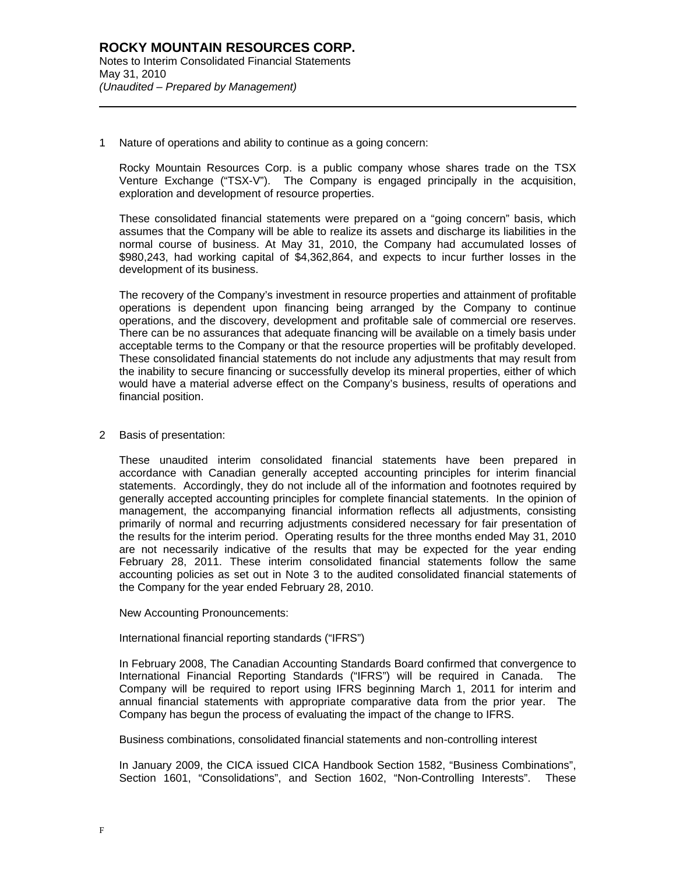1 Nature of operations and ability to continue as a going concern:

Rocky Mountain Resources Corp. is a public company whose shares trade on the TSX Venture Exchange ("TSX-V"). The Company is engaged principally in the acquisition, exploration and development of resource properties.

These consolidated financial statements were prepared on a "going concern" basis, which assumes that the Company will be able to realize its assets and discharge its liabilities in the normal course of business. At May 31, 2010, the Company had accumulated losses of \$980,243, had working capital of \$4,362,864, and expects to incur further losses in the development of its business.

The recovery of the Company's investment in resource properties and attainment of profitable operations is dependent upon financing being arranged by the Company to continue operations, and the discovery, development and profitable sale of commercial ore reserves. There can be no assurances that adequate financing will be available on a timely basis under acceptable terms to the Company or that the resource properties will be profitably developed. These consolidated financial statements do not include any adjustments that may result from the inability to secure financing or successfully develop its mineral properties, either of which would have a material adverse effect on the Company's business, results of operations and financial position.

#### 2 Basis of presentation:

l

These unaudited interim consolidated financial statements have been prepared in accordance with Canadian generally accepted accounting principles for interim financial statements. Accordingly, they do not include all of the information and footnotes required by generally accepted accounting principles for complete financial statements. In the opinion of management, the accompanying financial information reflects all adjustments, consisting primarily of normal and recurring adjustments considered necessary for fair presentation of the results for the interim period. Operating results for the three months ended May 31, 2010 are not necessarily indicative of the results that may be expected for the year ending February 28, 2011. These interim consolidated financial statements follow the same accounting policies as set out in Note 3 to the audited consolidated financial statements of the Company for the year ended February 28, 2010.

New Accounting Pronouncements:

International financial reporting standards ("IFRS")

In February 2008, The Canadian Accounting Standards Board confirmed that convergence to International Financial Reporting Standards ("IFRS") will be required in Canada. The Company will be required to report using IFRS beginning March 1, 2011 for interim and annual financial statements with appropriate comparative data from the prior year. The Company has begun the process of evaluating the impact of the change to IFRS.

Business combinations, consolidated financial statements and non-controlling interest

In January 2009, the CICA issued CICA Handbook Section 1582, "Business Combinations", Section 1601, "Consolidations", and Section 1602, "Non-Controlling Interests". These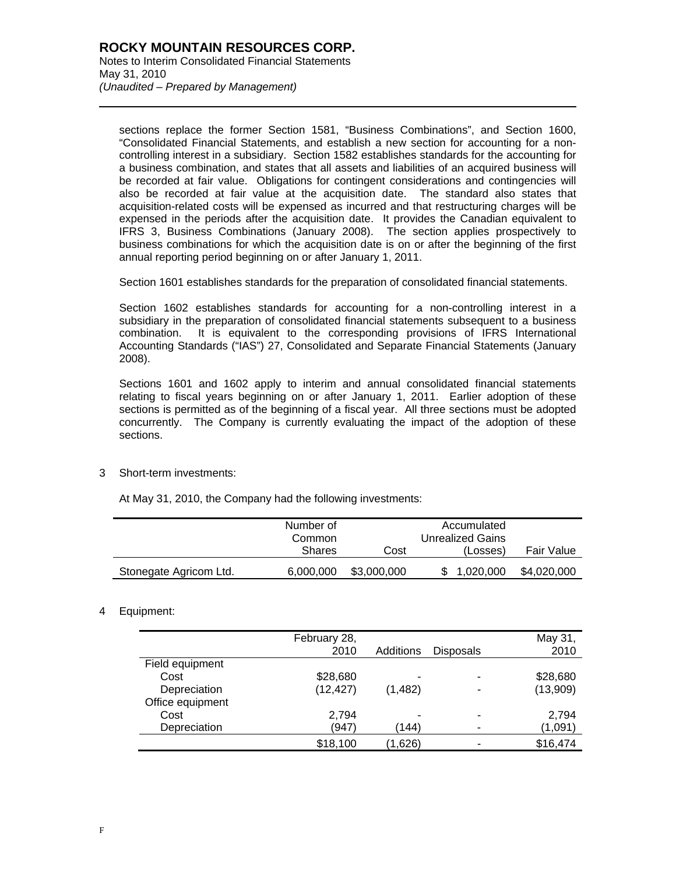l

sections replace the former Section 1581, "Business Combinations", and Section 1600, "Consolidated Financial Statements, and establish a new section for accounting for a noncontrolling interest in a subsidiary. Section 1582 establishes standards for the accounting for a business combination, and states that all assets and liabilities of an acquired business will be recorded at fair value. Obligations for contingent considerations and contingencies will also be recorded at fair value at the acquisition date. The standard also states that acquisition-related costs will be expensed as incurred and that restructuring charges will be expensed in the periods after the acquisition date. It provides the Canadian equivalent to IFRS 3, Business Combinations (January 2008). The section applies prospectively to business combinations for which the acquisition date is on or after the beginning of the first annual reporting period beginning on or after January 1, 2011.

Section 1601 establishes standards for the preparation of consolidated financial statements.

Section 1602 establishes standards for accounting for a non-controlling interest in a subsidiary in the preparation of consolidated financial statements subsequent to a business combination. It is equivalent to the corresponding provisions of IFRS International Accounting Standards ("IAS") 27, Consolidated and Separate Financial Statements (January 2008).

Sections 1601 and 1602 apply to interim and annual consolidated financial statements relating to fiscal years beginning on or after January 1, 2011. Earlier adoption of these sections is permitted as of the beginning of a fiscal year. All three sections must be adopted concurrently. The Company is currently evaluating the impact of the adoption of these sections.

3 Short-term investments:

At May 31, 2010, the Company had the following investments:

|                        | Number of<br>Common |             | Accumulated<br>Unrealized Gains |             |
|------------------------|---------------------|-------------|---------------------------------|-------------|
|                        | <b>Shares</b>       | Cost        | (Losses)                        | Fair Value  |
| Stonegate Agricom Ltd. | 6,000,000           | \$3,000,000 | 1,020,000                       | \$4,020,000 |

# 4 Equipment:

|                  | February 28,<br>2010 | Additions | <b>Disposals</b> | May 31,<br>2010 |
|------------------|----------------------|-----------|------------------|-----------------|
| Field equipment  |                      |           |                  |                 |
| Cost             | \$28,680             | ۰         | -                | \$28,680        |
| Depreciation     | (12, 427)            | (1, 482)  | -                | (13,909)        |
| Office equipment |                      |           |                  |                 |
| Cost             | 2,794                | -         | ۰                | 2,794           |
| Depreciation     | (947)                | (144)     | -                | (1,091)         |
|                  | \$18,100             | (1,626)   |                  | \$16,474        |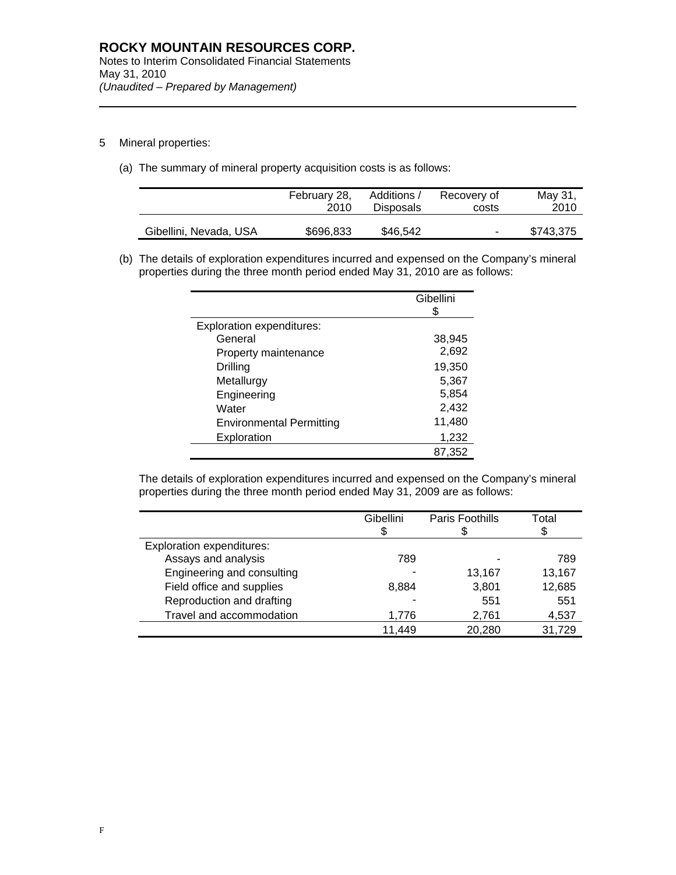5 Mineral properties:

l

(a) The summary of mineral property acquisition costs is as follows:

|                        | February 28, | Additions /      | Recovery of | May 31,   |
|------------------------|--------------|------------------|-------------|-----------|
|                        | 2010         | <b>Disposals</b> | costs       | 2010      |
| Gibellini, Nevada, USA | \$696,833    | \$46,542         | ۰           | \$743,375 |

(b) The details of exploration expenditures incurred and expensed on the Company's mineral properties during the three month period ended May 31, 2010 are as follows:

|                                  | Gibellini |
|----------------------------------|-----------|
| <b>Exploration expenditures:</b> |           |
| General                          | 38,945    |
| Property maintenance             | 2,692     |
| Drilling                         | 19,350    |
| Metallurgy                       | 5,367     |
| Engineering                      | 5,854     |
| Water                            | 2,432     |
| <b>Environmental Permitting</b>  | 11,480    |
| Exploration                      | 1,232     |
|                                  | 87,352    |

The details of exploration expenditures incurred and expensed on the Company's mineral properties during the three month period ended May 31, 2009 are as follows:

|                                  | Gibellini | Paris Foothills | Total  |
|----------------------------------|-----------|-----------------|--------|
|                                  |           |                 | \$     |
| <b>Exploration expenditures:</b> |           |                 |        |
| Assays and analysis              | 789       |                 | 789    |
| Engineering and consulting       |           | 13,167          | 13,167 |
| Field office and supplies        | 8,884     | 3,801           | 12,685 |
| Reproduction and drafting        |           | 551             | 551    |
| Travel and accommodation         | 1.776     | 2.761           | 4,537  |
|                                  | 11,449    | 20,280          | 31,729 |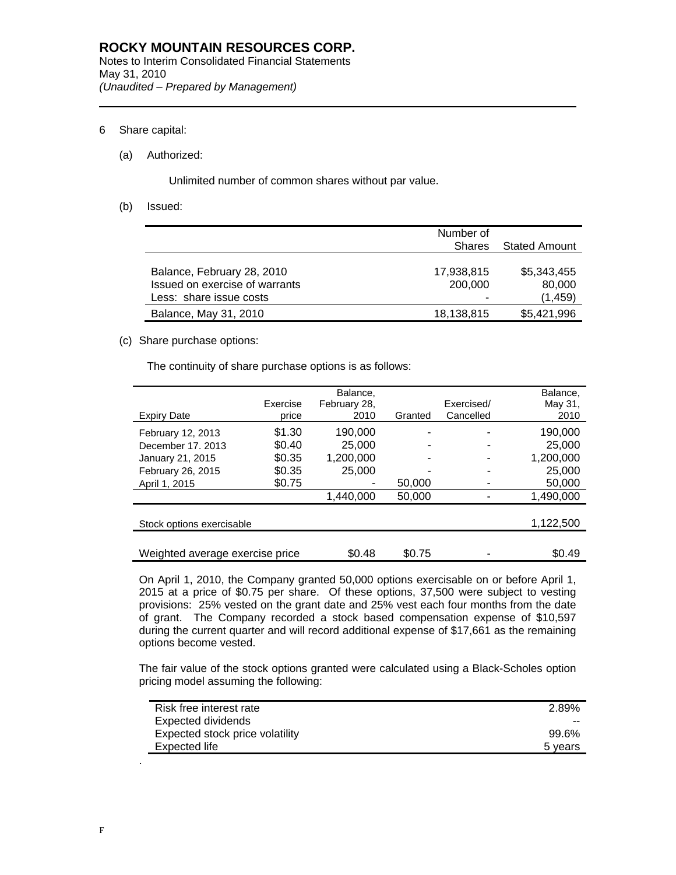# 6 Share capital:

l

## (a) Authorized:

Unlimited number of common shares without par value.

(b) Issued:

|                                | Number of     |               |
|--------------------------------|---------------|---------------|
|                                | <b>Shares</b> | Stated Amount |
|                                |               |               |
| Balance, February 28, 2010     | 17,938,815    | \$5,343,455   |
| Issued on exercise of warrants | 200,000       | 80,000        |
| Less: share issue costs        | -             | (1,459)       |
| Balance, May 31, 2010          | 18,138,815    | \$5,421,996   |

# (c) Share purchase options:

The continuity of share purchase options is as follows:

|                                 |          | Balance.     |         |            | Balance.  |
|---------------------------------|----------|--------------|---------|------------|-----------|
|                                 | Exercise | February 28, |         | Exercised/ | May 31,   |
| <b>Expiry Date</b>              | price    | 2010         | Granted | Cancelled  | 2010      |
| February 12, 2013               | \$1.30   | 190.000      |         |            | 190,000   |
| December 17, 2013               | \$0.40   | 25,000       |         |            | 25,000    |
| January 21, 2015                | \$0.35   | 1,200,000    |         |            | 1,200,000 |
| February 26, 2015               | \$0.35   | 25,000       |         |            | 25,000    |
| April 1, 2015                   | \$0.75   |              | 50,000  |            | 50,000    |
|                                 |          | 1,440,000    | 50,000  |            | 1,490,000 |
|                                 |          |              |         |            |           |
| Stock options exercisable       |          |              |         |            | 1,122,500 |
|                                 |          |              |         |            |           |
| Weighted average exercise price |          | \$0.48       | \$0.75  |            | \$0.49    |

On April 1, 2010, the Company granted 50,000 options exercisable on or before April 1, 2015 at a price of \$0.75 per share. Of these options, 37,500 were subject to vesting provisions: 25% vested on the grant date and 25% vest each four months from the date of grant. The Company recorded a stock based compensation expense of \$10,597 during the current quarter and will record additional expense of \$17,661 as the remaining options become vested.

The fair value of the stock options granted were calculated using a Black-Scholes option pricing model assuming the following:

| Risk free interest rate         | 2.89%   |
|---------------------------------|---------|
| Expected dividends              | --      |
| Expected stock price volatility | 99.6%   |
| Expected life                   | 5 years |

.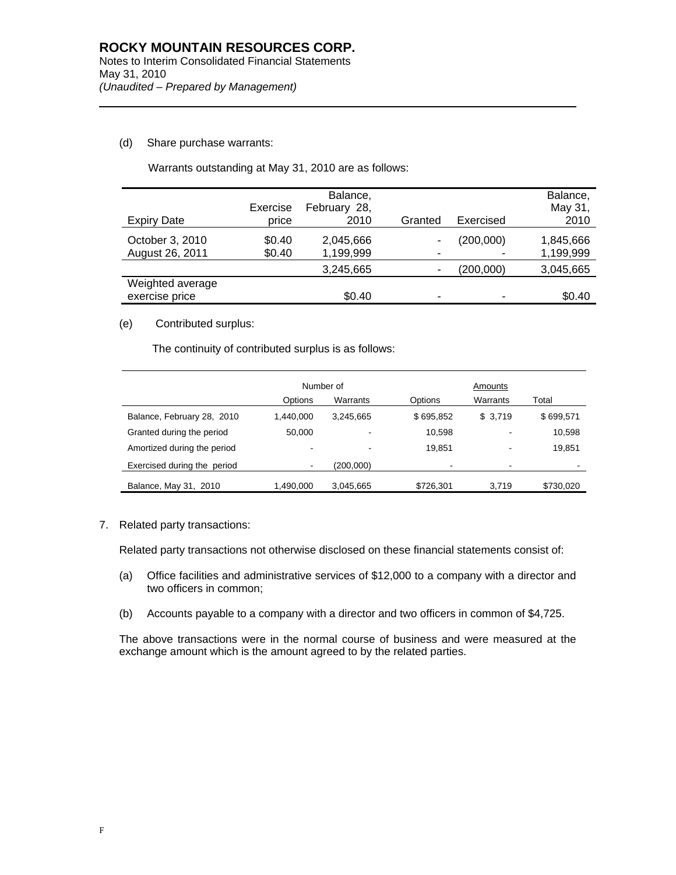# (d) Share purchase warrants:

l

Warrants outstanding at May 31, 2010 are as follows:

|                                    | Exercise         | Balance,<br>February 28, |         |                | Balance,<br>May 31,    |
|------------------------------------|------------------|--------------------------|---------|----------------|------------------------|
| <b>Expiry Date</b>                 | price            | 2010                     | Granted | Exercised      | 2010                   |
| October 3, 2010<br>August 26, 2011 | \$0.40<br>\$0.40 | 2,045,666<br>1,199,999   |         | (200,000)<br>- | 1,845,666<br>1,199,999 |
|                                    |                  | 3,245,665                |         | (200,000)      | 3,045,665              |
| Weighted average<br>exercise price |                  | \$0.40                   |         |                | \$0.40                 |

## (e) Contributed surplus:

The continuity of contributed surplus is as follows:

|                             | Number of                |           |           | Amounts  |           |  |
|-----------------------------|--------------------------|-----------|-----------|----------|-----------|--|
|                             | Options                  | Warrants  | Options   | Warrants | Total     |  |
| Balance, February 28, 2010  | 1.440.000                | 3.245.665 | \$695,852 | \$3,719  | \$699,571 |  |
| Granted during the period   | 50.000                   |           | 10.598    | ٠        | 10,598    |  |
| Amortized during the period | $\overline{\phantom{a}}$ |           | 19.851    | ٠        | 19,851    |  |
| Exercised during the period | ٠                        | (200,000) |           | ۰        |           |  |
| Balance, May 31, 2010       | 1,490,000                | 3,045,665 | \$726,301 | 3.719    | \$730,020 |  |

7. Related party transactions:

Related party transactions not otherwise disclosed on these financial statements consist of:

- (a) Office facilities and administrative services of \$12,000 to a company with a director and two officers in common;
- (b) Accounts payable to a company with a director and two officers in common of \$4,725.

The above transactions were in the normal course of business and were measured at the exchange amount which is the amount agreed to by the related parties.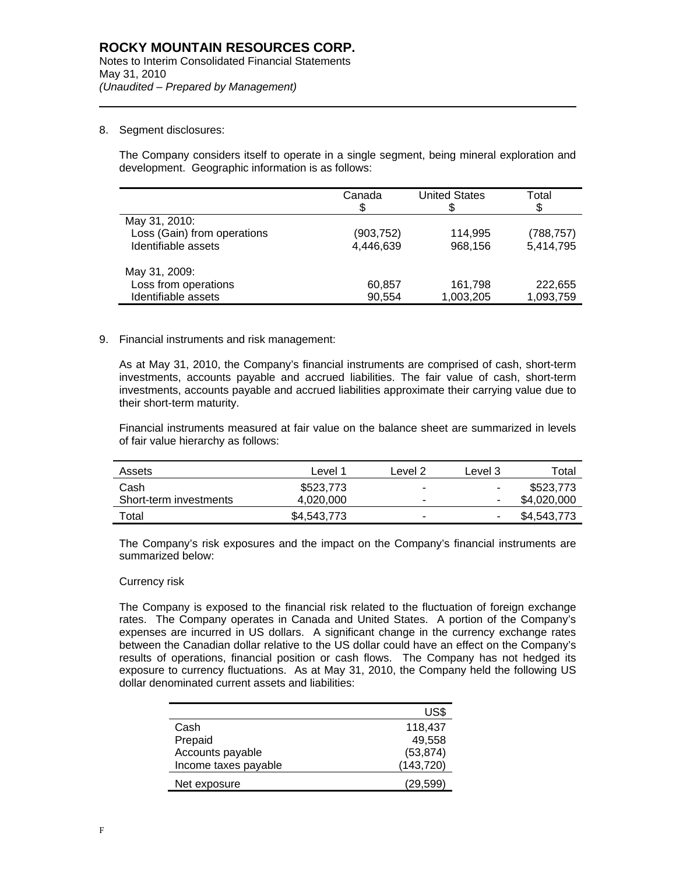### 8. Segment disclosures:

l

The Company considers itself to operate in a single segment, being mineral exploration and development. Geographic information is as follows:

|                             | Canada<br>\$ | <b>United States</b> | Total<br>\$ |
|-----------------------------|--------------|----------------------|-------------|
| May 31, 2010:               |              |                      |             |
| Loss (Gain) from operations | (903,752)    | 114.995              | (788, 757)  |
| Identifiable assets         | 4,446,639    | 968,156              | 5,414,795   |
| May 31, 2009:               |              |                      |             |
| Loss from operations        | 60,857       | 161,798              | 222,655     |
| Identifiable assets         | 90,554       | 1,003,205            | 1,093,759   |

#### 9. Financial instruments and risk management:

As at May 31, 2010, the Company's financial instruments are comprised of cash, short-term investments, accounts payable and accrued liabilities. The fair value of cash, short-term investments, accounts payable and accrued liabilities approximate their carrying value due to their short-term maturity.

Financial instruments measured at fair value on the balance sheet are summarized in levels of fair value hierarchy as follows:

| Assets                 | Level 1     | Level 2                  | Level 3                  | Total       |
|------------------------|-------------|--------------------------|--------------------------|-------------|
| Cash                   | \$523,773   | $\overline{\phantom{a}}$ | $\blacksquare$           | \$523,773   |
| Short-term investments | 4,020,000   |                          |                          | \$4,020,000 |
| Total                  | \$4,543,773 |                          | $\overline{\phantom{a}}$ | \$4,543,773 |

The Company's risk exposures and the impact on the Company's financial instruments are summarized below:

#### Currency risk

The Company is exposed to the financial risk related to the fluctuation of foreign exchange rates. The Company operates in Canada and United States. A portion of the Company's expenses are incurred in US dollars. A significant change in the currency exchange rates between the Canadian dollar relative to the US dollar could have an effect on the Company's results of operations, financial position or cash flows. The Company has not hedged its exposure to currency fluctuations. As at May 31, 2010, the Company held the following US dollar denominated current assets and liabilities:

|                      | US\$       |
|----------------------|------------|
| Cash                 | 118,437    |
| Prepaid              | 49.558     |
| Accounts payable     | (53, 874)  |
| Income taxes payable | (143, 720) |
| Net exposure         | 29,599)'   |